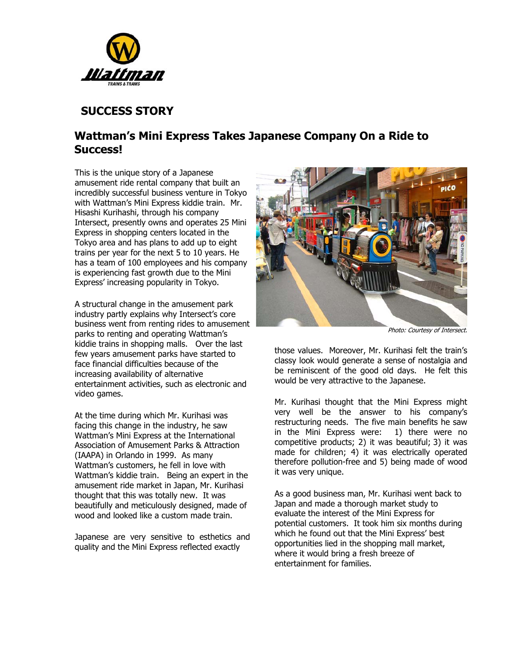

## **SUCCESS STORY**

## **Wattman's Mini Express Takes Japanese Company On a Ride to Success!**

This is the unique story of a Japanese amusement ride rental company that built an incredibly successful business venture in Tokyo with Wattman's Mini Express kiddie train. Mr. Hisashi Kurihashi, through his company Intersect, presently owns and operates 25 Mini Express in shopping centers located in the Tokyo area and has plans to add up to eight trains per year for the next 5 to 10 years. He has a team of 100 employees and his company is experiencing fast growth due to the Mini Express' increasing popularity in Tokyo.

A structural change in the amusement park industry partly explains why Intersect's core business went from renting rides to amusement parks to renting and operating Wattman's kiddie trains in shopping malls. Over the last few years amusement parks have started to face financial difficulties because of the increasing availability of alternative entertainment activities, such as electronic and video games.

At the time during which Mr. Kurihasi was facing this change in the industry, he saw Wattman's Mini Express at the International Association of Amusement Parks & Attraction (IAAPA) in Orlando in 1999. As many Wattman's customers, he fell in love with Wattman's kiddie train. Being an expert in the amusement ride market in Japan, Mr. Kurihasi thought that this was totally new. It was beautifully and meticulously designed, made of wood and looked like a custom made train.

Japanese are very sensitive to esthetics and quality and the Mini Express reflected exactly



Photo: Courtesy of Intersect.

those values. Moreover, Mr. Kurihasi felt the train's classy look would generate a sense of nostalgia and be reminiscent of the good old days. He felt this would be very attractive to the Japanese.

Mr. Kurihasi thought that the Mini Express might very well be the answer to his company's restructuring needs. The five main benefits he saw in the Mini Express were: 1) there were no competitive products; 2) it was beautiful; 3) it was made for children; 4) it was electrically operated therefore pollution-free and 5) being made of wood it was very unique.

As a good business man, Mr. Kurihasi went back to Japan and made a thorough market study to evaluate the interest of the Mini Express for potential customers. It took him six months during which he found out that the Mini Express' best opportunities lied in the shopping mall market, where it would bring a fresh breeze of entertainment for families.